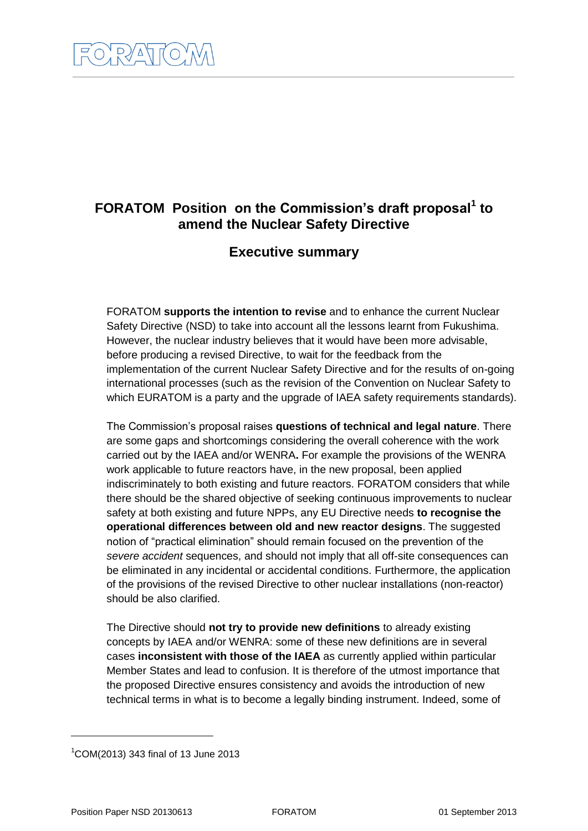# **FORATOM Position on the Commission's draft proposal<sup>1</sup> to amend the Nuclear Safety Directive**

## **Executive summary**

FORATOM **supports the intention to revise** and to enhance the current Nuclear Safety Directive (NSD) to take into account all the lessons learnt from Fukushima. However, the nuclear industry believes that it would have been more advisable, before producing a revised Directive, to wait for the feedback from the implementation of the current Nuclear Safety Directive and for the results of on-going international processes (such as the revision of the Convention on Nuclear Safety to which EURATOM is a party and the upgrade of IAEA safety requirements standards).

The Commission's proposal raises **questions of technical and legal nature**. There are some gaps and shortcomings considering the overall coherence with the work carried out by the IAEA and/or WENRA**.** For example the provisions of the WENRA work applicable to future reactors have, in the new proposal, been applied indiscriminately to both existing and future reactors. FORATOM considers that while there should be the shared objective of seeking continuous improvements to nuclear safety at both existing and future NPPs, any EU Directive needs **to recognise the operational differences between old and new reactor designs**. The suggested notion of "practical elimination" should remain focused on the prevention of the *severe accident* sequences, and should not imply that all off-site consequences can be eliminated in any incidental or accidental conditions. Furthermore, the application of the provisions of the revised Directive to other nuclear installations (non-reactor) should be also clarified.

The Directive should **not try to provide new definitions** to already existing concepts by IAEA and/or WENRA: some of these new definitions are in several cases **inconsistent with those of the IAEA** as currently applied within particular Member States and lead to confusion. It is therefore of the utmost importance that the proposed Directive ensures consistency and avoids the introduction of new technical terms in what is to become a legally binding instrument. Indeed, some of

-

<sup>1</sup>COM(2013) 343 final of 13 June 2013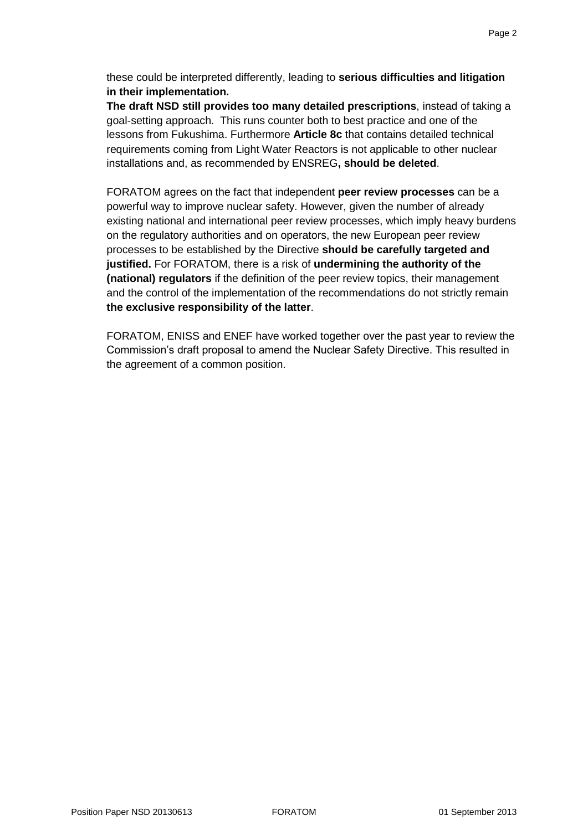these could be interpreted differently, leading to **serious difficulties and litigation in their implementation.** 

**The draft NSD still provides too many detailed prescriptions**, instead of taking a goal-setting approach. This runs counter both to best practice and one of the lessons from Fukushima. Furthermore **Article 8c** that contains detailed technical requirements coming from Light Water Reactors is not applicable to other nuclear installations and, as recommended by ENSREG**, should be deleted**.

FORATOM agrees on the fact that independent **peer review processes** can be a powerful way to improve nuclear safety. However, given the number of already existing national and international peer review processes, which imply heavy burdens on the regulatory authorities and on operators, the new European peer review processes to be established by the Directive **should be carefully targeted and justified.** For FORATOM, there is a risk of **undermining the authority of the (national) regulators** if the definition of the peer review topics, their management and the control of the implementation of the recommendations do not strictly remain **the exclusive responsibility of the latter**.

FORATOM, ENISS and ENEF have worked together over the past year to review the Commission's draft proposal to amend the Nuclear Safety Directive. This resulted in the agreement of a common position.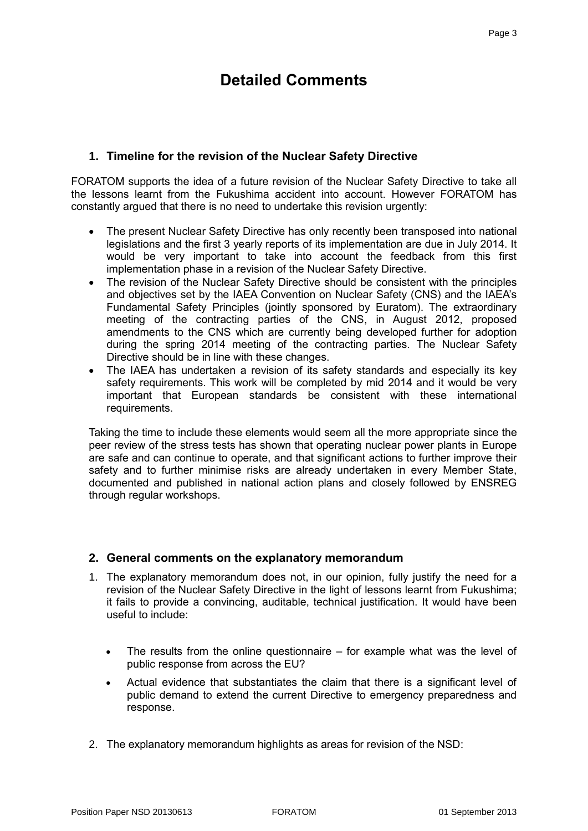# **Detailed Comments**

## **1. Timeline for the revision of the Nuclear Safety Directive**

FORATOM supports the idea of a future revision of the Nuclear Safety Directive to take all the lessons learnt from the Fukushima accident into account. However FORATOM has constantly argued that there is no need to undertake this revision urgently:

- The present Nuclear Safety Directive has only recently been transposed into national legislations and the first 3 yearly reports of its implementation are due in July 2014. It would be very important to take into account the feedback from this first implementation phase in a revision of the Nuclear Safety Directive.
- The revision of the Nuclear Safety Directive should be consistent with the principles and objectives set by the IAEA Convention on Nuclear Safety (CNS) and the IAEA's Fundamental Safety Principles (jointly sponsored by Euratom). The extraordinary meeting of the contracting parties of the CNS, in August 2012, proposed amendments to the CNS which are currently being developed further for adoption during the spring 2014 meeting of the contracting parties. The Nuclear Safety Directive should be in line with these changes.
- The IAEA has undertaken a revision of its safety standards and especially its key safety requirements. This work will be completed by mid 2014 and it would be very important that European standards be consistent with these international requirements.

Taking the time to include these elements would seem all the more appropriate since the peer review of the stress tests has shown that operating nuclear power plants in Europe are safe and can continue to operate, and that significant actions to further improve their safety and to further minimise risks are already undertaken in every Member State, documented and published in national action plans and closely followed by ENSREG through regular workshops.

## **2. General comments on the explanatory memorandum**

- 1. The explanatory memorandum does not, in our opinion, fully justify the need for a revision of the Nuclear Safety Directive in the light of lessons learnt from Fukushima; it fails to provide a convincing, auditable, technical justification. It would have been useful to include:
	- The results from the online questionnaire for example what was the level of public response from across the EU?
	- Actual evidence that substantiates the claim that there is a significant level of public demand to extend the current Directive to emergency preparedness and response.
- 2. The explanatory memorandum highlights as areas for revision of the NSD: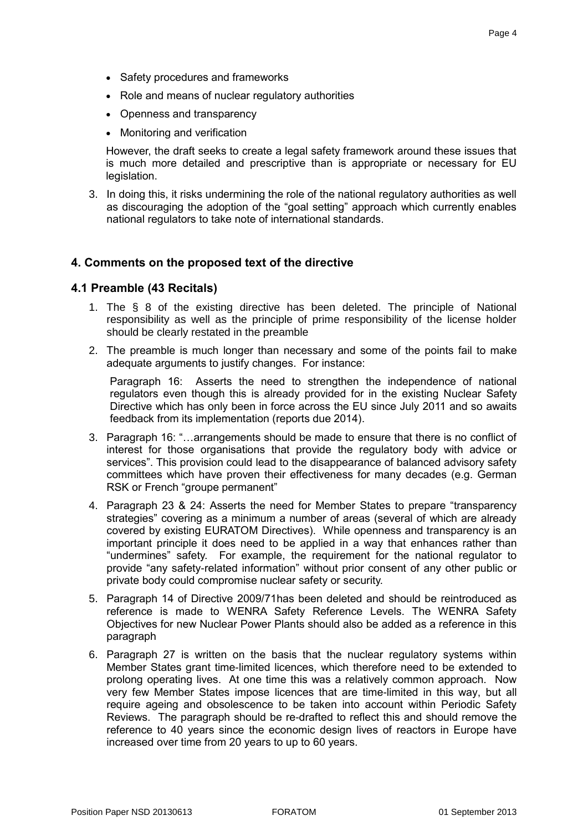- Safety procedures and frameworks
- Role and means of nuclear regulatory authorities
- Openness and transparency
- Monitoring and verification

However, the draft seeks to create a legal safety framework around these issues that is much more detailed and prescriptive than is appropriate or necessary for EU legislation.

3. In doing this, it risks undermining the role of the national regulatory authorities as well as discouraging the adoption of the "goal setting" approach which currently enables national regulators to take note of international standards.

#### **4. Comments on the proposed text of the directive**

#### **4.1 Preamble (43 Recitals)**

- 1. The § 8 of the existing directive has been deleted. The principle of National responsibility as well as the principle of prime responsibility of the license holder should be clearly restated in the preamble
- 2. The preamble is much longer than necessary and some of the points fail to make adequate arguments to justify changes. For instance:

Paragraph 16: Asserts the need to strengthen the independence of national regulators even though this is already provided for in the existing Nuclear Safety Directive which has only been in force across the EU since July 2011 and so awaits feedback from its implementation (reports due 2014).

- 3. Paragraph 16: "…arrangements should be made to ensure that there is no conflict of interest for those organisations that provide the regulatory body with advice or services". This provision could lead to the disappearance of balanced advisory safety committees which have proven their effectiveness for many decades (e.g. German RSK or French "groupe permanent"
- 4. Paragraph 23 & 24: Asserts the need for Member States to prepare "transparency strategies" covering as a minimum a number of areas (several of which are already covered by existing EURATOM Directives). While openness and transparency is an important principle it does need to be applied in a way that enhances rather than "undermines" safety. For example, the requirement for the national regulator to provide "any safety-related information" without prior consent of any other public or private body could compromise nuclear safety or security.
- 5. Paragraph 14 of Directive 2009/71has been deleted and should be reintroduced as reference is made to WENRA Safety Reference Levels. The WENRA Safety Objectives for new Nuclear Power Plants should also be added as a reference in this paragraph
- 6. Paragraph 27 is written on the basis that the nuclear regulatory systems within Member States grant time-limited licences, which therefore need to be extended to prolong operating lives. At one time this was a relatively common approach. Now very few Member States impose licences that are time-limited in this way, but all require ageing and obsolescence to be taken into account within Periodic Safety Reviews. The paragraph should be re-drafted to reflect this and should remove the reference to 40 years since the economic design lives of reactors in Europe have increased over time from 20 years to up to 60 years.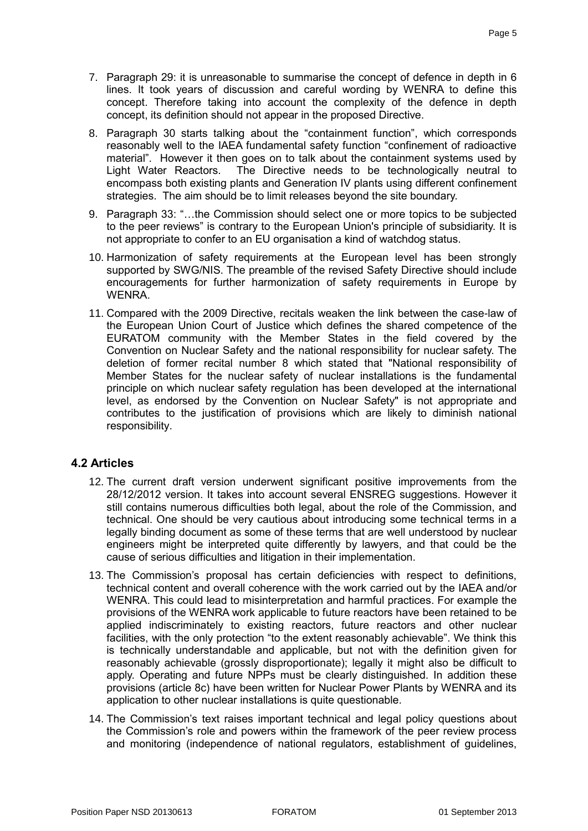- 7. Paragraph 29: it is unreasonable to summarise the concept of defence in depth in 6 lines. It took years of discussion and careful wording by WENRA to define this concept. Therefore taking into account the complexity of the defence in depth concept, its definition should not appear in the proposed Directive.
- 8. Paragraph 30 starts talking about the "containment function", which corresponds reasonably well to the IAEA fundamental safety function "confinement of radioactive material". However it then goes on to talk about the containment systems used by Light Water Reactors. The Directive needs to be technologically neutral to encompass both existing plants and Generation IV plants using different confinement strategies. The aim should be to limit releases beyond the site boundary.
- 9. Paragraph 33: "…the Commission should select one or more topics to be subjected to the peer reviews" is contrary to the European Union's principle of subsidiarity. It is not appropriate to confer to an EU organisation a kind of watchdog status.
- 10. Harmonization of safety requirements at the European level has been strongly supported by SWG/NIS. The preamble of the revised Safety Directive should include encouragements for further harmonization of safety requirements in Europe by WENRA.
- 11. Compared with the 2009 Directive, recitals weaken the link between the case-law of the European Union Court of Justice which defines the shared competence of the EURATOM community with the Member States in the field covered by the Convention on Nuclear Safety and the national responsibility for nuclear safety. The deletion of former recital number 8 which stated that "National responsibility of Member States for the nuclear safety of nuclear installations is the fundamental principle on which nuclear safety regulation has been developed at the international level, as endorsed by the Convention on Nuclear Safety" is not appropriate and contributes to the justification of provisions which are likely to diminish national responsibility.

## **4.2 Articles**

- 12. The current draft version underwent significant positive improvements from the 28/12/2012 version. It takes into account several ENSREG suggestions. However it still contains numerous difficulties both legal, about the role of the Commission, and technical. One should be very cautious about introducing some technical terms in a legally binding document as some of these terms that are well understood by nuclear engineers might be interpreted quite differently by lawyers, and that could be the cause of serious difficulties and litigation in their implementation.
- 13. The Commission's proposal has certain deficiencies with respect to definitions, technical content and overall coherence with the work carried out by the IAEA and/or WENRA. This could lead to misinterpretation and harmful practices. For example the provisions of the WENRA work applicable to future reactors have been retained to be applied indiscriminately to existing reactors, future reactors and other nuclear facilities, with the only protection "to the extent reasonably achievable". We think this is technically understandable and applicable, but not with the definition given for reasonably achievable (grossly disproportionate); legally it might also be difficult to apply. Operating and future NPPs must be clearly distinguished. In addition these provisions (article 8c) have been written for Nuclear Power Plants by WENRA and its application to other nuclear installations is quite questionable.
- 14. The Commission's text raises important technical and legal policy questions about the Commission's role and powers within the framework of the peer review process and monitoring (independence of national regulators, establishment of guidelines,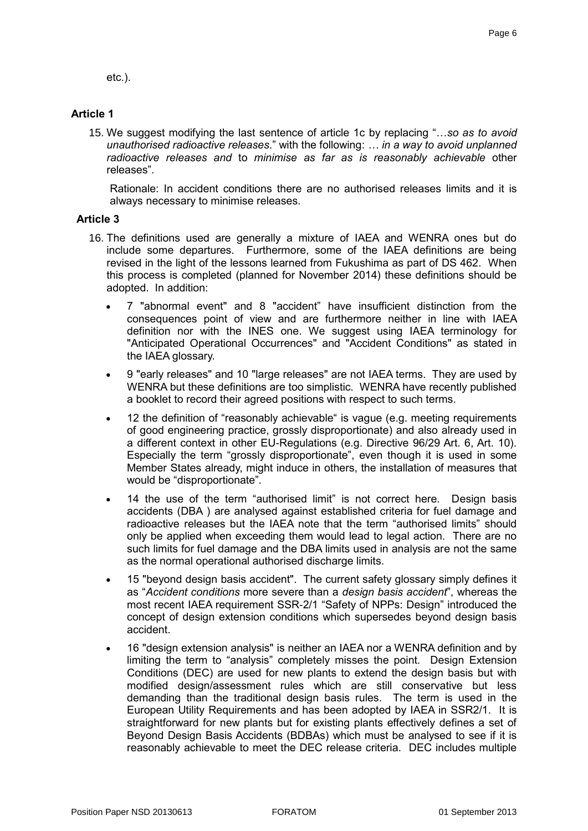etc.).

## **Article 1**

15. We suggest modifying the last sentence of article 1c by replacing "…*so as to avoid unauthorised radioactive releases*." with the following: *… in a way to avoid unplanned radioactive releases and* to *minimise as far as is reasonably achievable* other releases".

Rationale: In accident conditions there are no authorised releases limits and it is always necessary to minimise releases.

### **Article 3**

- 16. The definitions used are generally a mixture of IAEA and WENRA ones but do include some departures. Furthermore, some of the IAEA definitions are being revised in the light of the lessons learned from Fukushima as part of DS 462. When this process is completed (planned for November 2014) these definitions should be adopted. In addition:
	- 7 "abnormal event" and 8 "accident" have insufficient distinction from the consequences point of view and are furthermore neither in line with IAEA definition nor with the INES one. We suggest using IAEA terminology for "Anticipated Operational Occurrences" and "Accident Conditions" as stated in the IAEA glossary.
	- 9 "early releases" and 10 "large releases" are not IAEA terms. They are used by WENRA but these definitions are too simplistic. WENRA have recently published a booklet to record their agreed positions with respect to such terms.
	- 12 the definition of "reasonably achievable" is vague (e.g. meeting requirements of good engineering practice, grossly disproportionate) and also already used in a different context in other EU-Regulations (e.g. Directive 96/29 Art. 6, Art. 10). Especially the term "grossly disproportionate", even though it is used in some Member States already, might induce in others, the installation of measures that would be "disproportionate".
	- 14 the use of the term "authorised limit" is not correct here. Design basis accidents (DBA ) are analysed against established criteria for fuel damage and radioactive releases but the IAEA note that the term "authorised limits" should only be applied when exceeding them would lead to legal action. There are no such limits for fuel damage and the DBA limits used in analysis are not the same as the normal operational authorised discharge limits.
	- 15 "beyond design basis accident". The current safety glossary simply defines it as "*Accident conditions* more severe than a *design basis accident*", whereas the most recent IAEA requirement SSR-2/1 "Safety of NPPs: Design" introduced the concept of design extension conditions which supersedes beyond design basis accident.
	- 16 "design extension analysis" is neither an IAEA nor a WENRA definition and by limiting the term to "analysis" completely misses the point. Design Extension Conditions (DEC) are used for new plants to extend the design basis but with modified design/assessment rules which are still conservative but less demanding than the traditional design basis rules. The term is used in the European Utility Requirements and has been adopted by IAEA in SSR2/1. It is straightforward for new plants but for existing plants effectively defines a set of Beyond Design Basis Accidents (BDBAs) which must be analysed to see if it is reasonably achievable to meet the DEC release criteria. DEC includes multiple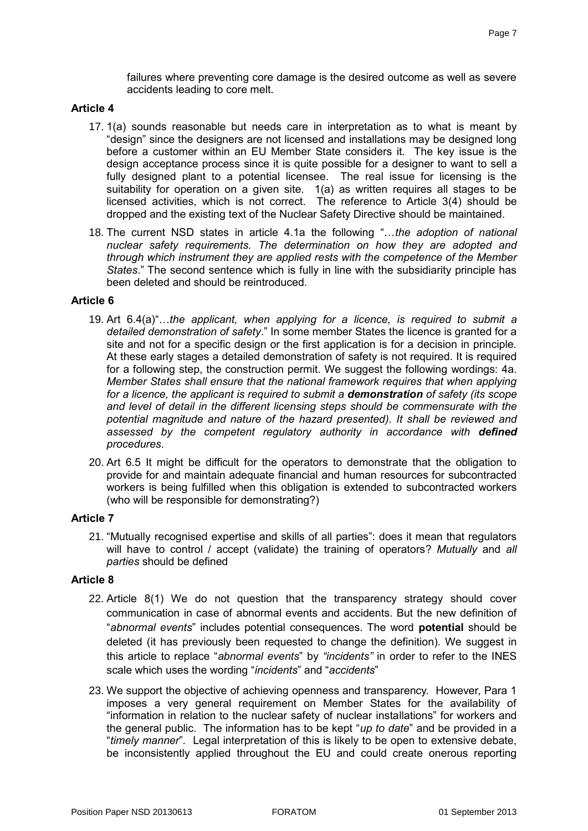failures where preventing core damage is the desired outcome as well as severe accidents leading to core melt.

#### **Article 4**

- 17. 1(a) sounds reasonable but needs care in interpretation as to what is meant by "design" since the designers are not licensed and installations may be designed long before a customer within an EU Member State considers it. The key issue is the design acceptance process since it is quite possible for a designer to want to sell a fully designed plant to a potential licensee. The real issue for licensing is the suitability for operation on a given site. 1(a) as written requires all stages to be licensed activities, which is not correct. The reference to Article 3(4) should be dropped and the existing text of the Nuclear Safety Directive should be maintained.
- 18. The current NSD states in article 4.1a the following "…*the adoption of national nuclear safety requirements. The determination on how they are adopted and through which instrument they are applied rests with the competence of the Member States*." The second sentence which is fully in line with the subsidiarity principle has been deleted and should be reintroduced.

#### **Article 6**

- 19. Art 6.4(a)"…*the applicant, when applying for a licence, is required to submit a detailed demonstration of safety*." In some member States the licence is granted for a site and not for a specific design or the first application is for a decision in principle. At these early stages a detailed demonstration of safety is not required. It is required for a following step, the construction permit. We suggest the following wordings: 4a. *Member States shall ensure that the national framework requires that when applying for a licence, the applicant is required to submit a demonstration of safety (its scope and level of detail in the different licensing steps should be commensurate with the potential magnitude and nature of the hazard presented). It shall be reviewed and assessed by the competent regulatory authority in accordance with defined procedures*.
- 20. Art 6.5 It might be difficult for the operators to demonstrate that the obligation to provide for and maintain adequate financial and human resources for subcontracted workers is being fulfilled when this obligation is extended to subcontracted workers (who will be responsible for demonstrating?)

#### **Article 7**

21. "Mutually recognised expertise and skills of all parties": does it mean that regulators will have to control / accept (validate) the training of operators? *Mutually* and *all parties* should be defined

#### **Article 8**

- 22. Article 8(1) We do not question that the transparency strategy should cover communication in case of abnormal events and accidents. But the new definition of "*abnormal events*" includes potential consequences. The word **potential** should be deleted (it has previously been requested to change the definition). We suggest in this article to replace "*abnormal events*" by *"incidents"* in order to refer to the INES scale which uses the wording "*incidents*" and "*accidents*"
- 23. We support the objective of achieving openness and transparency. However, Para 1 imposes a very general requirement on Member States for the availability of "information in relation to the nuclear safety of nuclear installations" for workers and the general public. The information has to be kept "*up to date*" and be provided in a "*timely manner*". Legal interpretation of this is likely to be open to extensive debate, be inconsistently applied throughout the EU and could create onerous reporting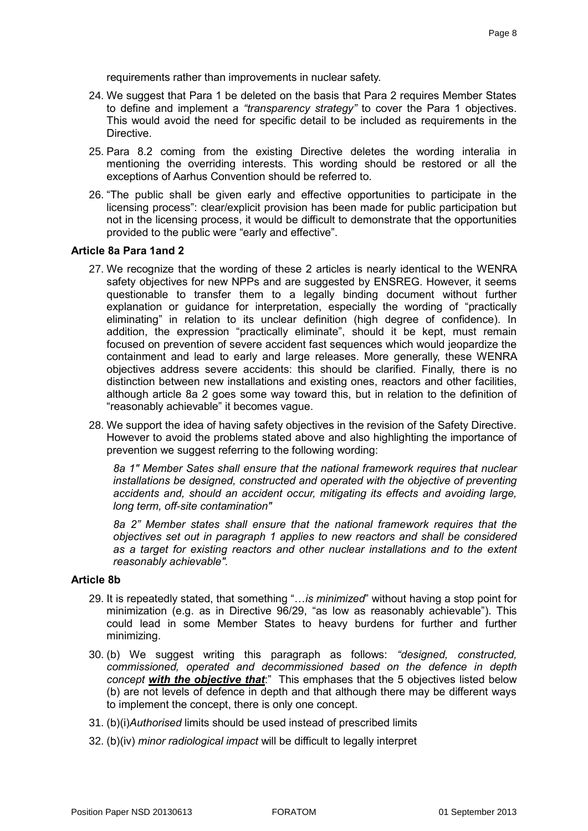requirements rather than improvements in nuclear safety.

- 24. We suggest that Para 1 be deleted on the basis that Para 2 requires Member States to define and implement a *"transparency strategy"* to cover the Para 1 objectives. This would avoid the need for specific detail to be included as requirements in the Directive.
- 25. Para 8.2 coming from the existing Directive deletes the wording interalia in mentioning the overriding interests. This wording should be restored or all the exceptions of Aarhus Convention should be referred to.
- 26. "The public shall be given early and effective opportunities to participate in the licensing process": clear/explicit provision has been made for public participation but not in the licensing process, it would be difficult to demonstrate that the opportunities provided to the public were "early and effective".

#### **Article 8a Para 1and 2**

- 27. We recognize that the wording of these 2 articles is nearly identical to the WENRA safety objectives for new NPPs and are suggested by ENSREG. However, it seems questionable to transfer them to a legally binding document without further explanation or guidance for interpretation, especially the wording of "practically eliminating" in relation to its unclear definition (high degree of confidence). In addition, the expression "practically eliminate", should it be kept, must remain focused on prevention of severe accident fast sequences which would jeopardize the containment and lead to early and large releases. More generally, these WENRA objectives address severe accidents: this should be clarified. Finally, there is no distinction between new installations and existing ones, reactors and other facilities, although article 8a 2 goes some way toward this, but in relation to the definition of "reasonably achievable" it becomes vague.
- 28. We support the idea of having safety objectives in the revision of the Safety Directive. However to avoid the problems stated above and also highlighting the importance of prevention we suggest referring to the following wording:

*8a 1" Member Sates shall ensure that the national framework requires that nuclear installations be designed, constructed and operated with the objective of preventing accidents and, should an accident occur, mitigating its effects and avoiding large, long term, off-site contamination"*

*8a 2" Member states shall ensure that the national framework requires that the objectives set out in paragraph 1 applies to new reactors and shall be considered as a target for existing reactors and other nuclear installations and to the extent reasonably achievable".* 

#### **Article 8b**

- 29. It is repeatedly stated, that something "…*is minimized*" without having a stop point for minimization (e.g. as in Directive 96/29, "as low as reasonably achievable"). This could lead in some Member States to heavy burdens for further and further minimizing.
- 30. (b) We suggest writing this paragraph as follows: *"designed, constructed, commissioned, operated and decommissioned based on the defence in depth concept with the objective that*:" This emphases that the 5 objectives listed below (b) are not levels of defence in depth and that although there may be different ways to implement the concept, there is only one concept.
- 31. (b)(i)*Authorised* limits should be used instead of prescribed limits
- 32. (b)(iv) *minor radiological impact* will be difficult to legally interpret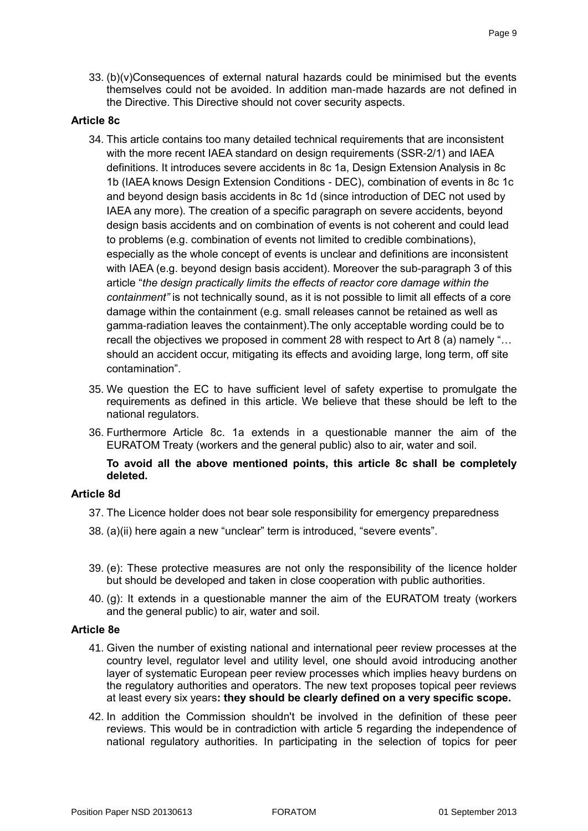33. (b)(v)Consequences of external natural hazards could be minimised but the events themselves could not be avoided. In addition man-made hazards are not defined in the Directive. This Directive should not cover security aspects.

#### **Article 8c**

- 34. This article contains too many detailed technical requirements that are inconsistent with the more recent IAEA standard on design requirements (SSR-2/1) and IAEA definitions. It introduces severe accidents in 8c 1a, Design Extension Analysis in 8c 1b (IAEA knows Design Extension Conditions - DEC), combination of events in 8c 1c and beyond design basis accidents in 8c 1d (since introduction of DEC not used by IAEA any more). The creation of a specific paragraph on severe accidents, beyond design basis accidents and on combination of events is not coherent and could lead to problems (e.g. combination of events not limited to credible combinations), especially as the whole concept of events is unclear and definitions are inconsistent with IAEA (e.g. beyond design basis accident). Moreover the sub-paragraph 3 of this article "*the design practically limits the effects of reactor core damage within the containment"* is not technically sound, as it is not possible to limit all effects of a core damage within the containment (e.g. small releases cannot be retained as well as gamma-radiation leaves the containment).The only acceptable wording could be to recall the objectives we proposed in comment 28 with respect to Art 8 (a) namely "… should an accident occur, mitigating its effects and avoiding large, long term, off site contamination".
- 35. We question the EC to have sufficient level of safety expertise to promulgate the requirements as defined in this article. We believe that these should be left to the national regulators.
- 36. Furthermore Article 8c. 1a extends in a questionable manner the aim of the EURATOM Treaty (workers and the general public) also to air, water and soil.

#### **To avoid all the above mentioned points, this article 8c shall be completely deleted.**

#### **Article 8d**

- 37. The Licence holder does not bear sole responsibility for emergency preparedness
- 38. (a)(ii) here again a new "unclear" term is introduced, "severe events".
- 39. (e): These protective measures are not only the responsibility of the licence holder but should be developed and taken in close cooperation with public authorities.
- 40. (g): It extends in a questionable manner the aim of the EURATOM treaty (workers and the general public) to air, water and soil.

#### **Article 8e**

- 41. Given the number of existing national and international peer review processes at the country level, regulator level and utility level, one should avoid introducing another layer of systematic European peer review processes which implies heavy burdens on the regulatory authorities and operators. The new text proposes topical peer reviews at least every six years**: they should be clearly defined on a very specific scope.**
- 42. In addition the Commission shouldn't be involved in the definition of these peer reviews. This would be in contradiction with article 5 regarding the independence of national regulatory authorities. In participating in the selection of topics for peer